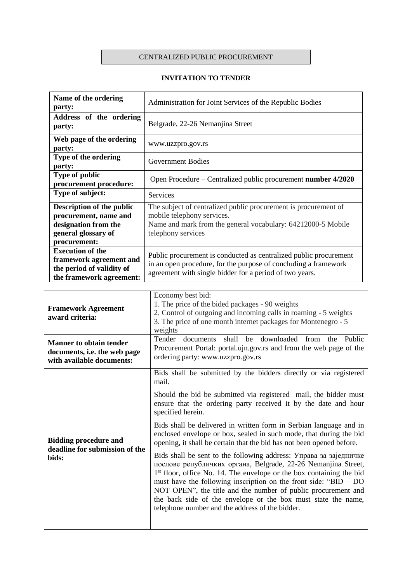## CENTRALIZED PUBLIC PROCUREMENT

## **INVITATION TO TENDER**

| Name of the ordering<br>party:                                                                                    | Administration for Joint Services of the Republic Bodies                                                                                                                                        |
|-------------------------------------------------------------------------------------------------------------------|-------------------------------------------------------------------------------------------------------------------------------------------------------------------------------------------------|
| Address of the ordering<br>party:                                                                                 | Belgrade, 22-26 Nemanjina Street                                                                                                                                                                |
| Web page of the ordering<br>party:                                                                                | www.uzzpro.gov.rs                                                                                                                                                                               |
| Type of the ordering<br>party:                                                                                    | Government Bodies                                                                                                                                                                               |
| <b>Type of public</b><br>procurement procedure:                                                                   | Open Procedure – Centralized public procurement number 4/2020                                                                                                                                   |
| Type of subject:                                                                                                  | <b>Services</b>                                                                                                                                                                                 |
| Description of the public<br>procurement, name and<br>designation from the<br>general glossary of<br>procurement: | The subject of centralized public procurement is procurement of<br>mobile telephony services.<br>Name and mark from the general vocabulary: 64212000-5 Mobile<br>telephony services             |
| <b>Execution of the</b><br>framework agreement and<br>the period of validity of<br>the framework agreement:       | Public procurement is conducted as centralized public procurement<br>in an open procedure, for the purpose of concluding a framework<br>agreement with single bidder for a period of two years. |

| <b>Framework Agreement</b><br>award criteria:                                               | Economy best bid:<br>1. The price of the bided packages - 90 weights<br>2. Control of outgoing and incoming calls in roaming - 5 weights<br>3. The price of one month internet packages for Montenegro - 5<br>weights                                                                                                                                                                                                                                                              |
|---------------------------------------------------------------------------------------------|------------------------------------------------------------------------------------------------------------------------------------------------------------------------------------------------------------------------------------------------------------------------------------------------------------------------------------------------------------------------------------------------------------------------------------------------------------------------------------|
| <b>Manner to obtain tender</b><br>documents, i.e. the web page<br>with available documents: | be downloaded<br>Tender<br>shall<br>Public<br>documents<br>from<br>the<br>Procurement Portal: portal.ujn.gov.rs and from the web page of the<br>ordering party: www.uzzpro.gov.rs                                                                                                                                                                                                                                                                                                  |
|                                                                                             | Bids shall be submitted by the bidders directly or via registered<br>mail.                                                                                                                                                                                                                                                                                                                                                                                                         |
| <b>Bidding procedure and</b><br>deadline for submission of the<br>bids:                     | Should the bid be submitted via registered mail, the bidder must<br>ensure that the ordering party received it by the date and hour<br>specified herein.                                                                                                                                                                                                                                                                                                                           |
|                                                                                             | Bids shall be delivered in written form in Serbian language and in<br>enclosed envelope or box, sealed in such mode, that during the bid<br>opening, it shall be certain that the bid has not been opened before.                                                                                                                                                                                                                                                                  |
|                                                                                             | Bids shall be sent to the following address: Управа за заједничке<br>послове републичких органа, Belgrade, 22-26 Nemanjina Street,<br>1 <sup>st</sup> floor, office No. 14. The envelope or the box containing the bid<br>must have the following inscription on the front side: " $BID - DO$<br>NOT OPEN", the title and the number of public procurement and<br>the back side of the envelope or the box must state the name,<br>telephone number and the address of the bidder. |
|                                                                                             |                                                                                                                                                                                                                                                                                                                                                                                                                                                                                    |